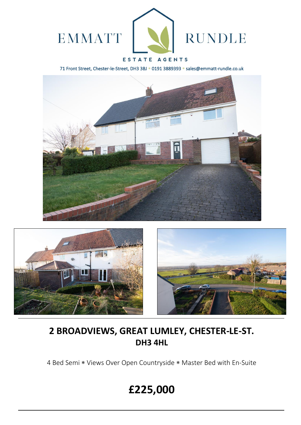

# ESTATE AGENTS

71 Front Street, Chester-le-Street, DH3 3BJ \* 0191 3889393 \* sales@emmatt-rundle.co.uk





# **2 BROADVIEWS, GREAT LUMLEY, CHESTER-LE-ST. DH3 4HL**

4 Bed Semi \* Views Over Open Countryside \* Master Bed with En-Suite

# **£225,000**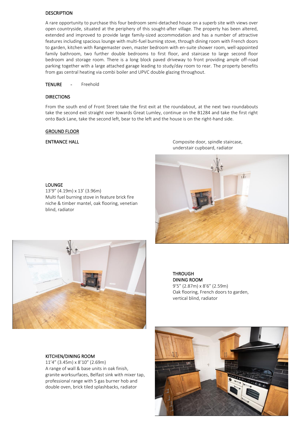#### DESCRIPTION

A rare opportunity to purchase this four bedroom semi-detached house on a superb site with views over open countryside, situated at the periphery of this sought-after village. The property has been altered, extended and improved to provide large family-sized accommodation and has a number of attractive features including spacious lounge with multi-fuel burning stove, through dining room with French doors to garden, kitchen with Rangemaster oven, master bedroom with en-suite shower room, well-appointed family bathroom, two further double bedrooms to first floor, and staircase to large second floor bedroom and storage room. There is a long block paved driveway to front providing ample off-road parking together with a large attached garage leading to study/day room to rear. The property benefits from gas central heating via combi boiler and UPVC double glazing throughout.

#### TENURE - Freehold

### DIRECTIONS

From the south end of Front Street take the first exit at the roundabout, at the next two roundabouts take the second exit straight over towards Great Lumley, continue on the B1284 and take the first right onto Back Lane, take the second left, bear to the left and the house is on the right-hand side.

#### GROUND FLOOR

#### LOUNGE

13'9" (4.19m) x 13' (3.96m) Multi fuel burning stove in feature brick fire niche & timber mantel, oak flooring, venetian blind, radiator

ENTRANCE HALL **ENTRANCE HALL Composite door**, spindle staircase, understair cupboard, radiator





**THROUGH** DINING ROOM 9'5" (2.87m) x 8'6" (2.59m) Oak flooring, French doors to garden, vertical blind, radiator

# KITCHEN/DINING ROOM

11'4" (3.45m) x 8'10" (2.69m) A range of wall & base units in oak finish, granite worksurfaces, Belfast sink with mixer tap, professional range with 5 gas burner hob and double oven, brick tiled splashbacks, radiator

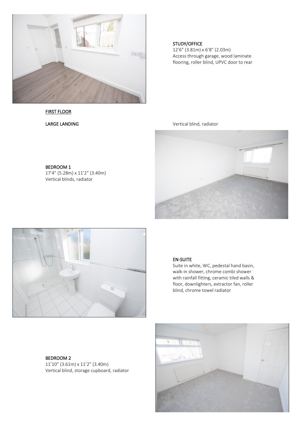

# FIRST FLOOR

# BEDROOM 1

17'4" (5.28m) x 11'2" (3.40m) Vertical blinds, radiator

#### STUDY/OFFICE

12'6" (3.81m) x 6'8" (2.03m) Access through garage, wood laminate flooring, roller blind, UPVC door to rear







# EN-SUITE

Suite in white, WC, pedestal hand basin, walk-in shower, chrome combi shower with rainfall fitting, ceramic tiled walls & floor, downlighters, extractor fan, roller blind, chrome towel radiator